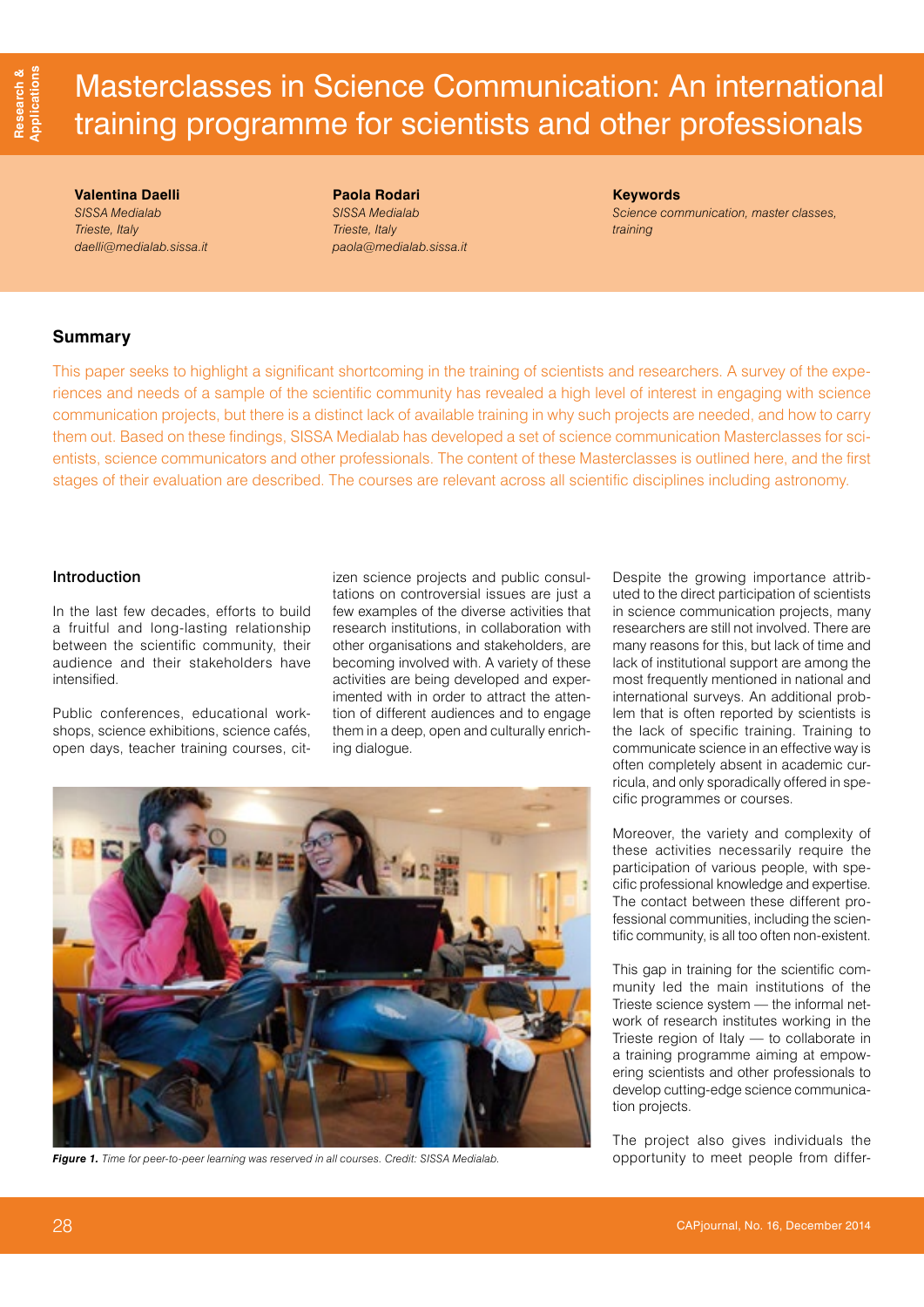# Masterclasses in Science Communication: An international training programme for scientists and other professionals

**Valentina Daelli**  *SISSA Medialab Trieste, Italy [daelli@medialab.sissa.it](mailto:daelli@medialab.sissa.it)*

**Paola Rodari**  *SISSA Medialab Trieste, Italy [paola@medialab.sissa.it](mailto:paola@medialab.sissa.it)* **Keywords**

*Science communication, master classes, training*

## **Summary**

This paper seeks to highlight a significant shortcoming in the training of scientists and researchers. A survey of the experiences and needs of a sample of the scientific community has revealed a high level of interest in engaging with science communication projects, but there is a distinct lack of available training in why such projects are needed, and how to carry them out. Based on these findings, SISSA Medialab has developed a set of science communication Masterclasses for scientists, science communicators and other professionals. The content of these Masterclasses is outlined here, and the first stages of their evaluation are described. The courses are relevant across all scientific disciplines including astronomy.

### Introduction

In the last few decades, efforts to build a fruitful and long-lasting relationship between the scientific community, their audience and their stakeholders have intensified.

Public conferences, educational workshops, science exhibitions, science cafés, open days, teacher training courses, citizen science projects and public consultations on controversial issues are just a few examples of the diverse activities that research institutions, in collaboration with other organisations and stakeholders, are becoming involved with. A variety of these activities are being developed and experimented with in order to attract the attention of different audiences and to engage them in a deep, open and culturally enriching dialogue.



*Figure 1. Time for peer-to-peer learning was reserved in all courses. Credit: SISSA Medialab.*

Despite the growing importance attributed to the direct participation of scientists in science communication projects, many researchers are still not involved. There are many reasons for this, but lack of time and lack of institutional support are among the most frequently mentioned in national and international surveys. An additional problem that is often reported by scientists is the lack of specific training. Training to communicate science in an effective way is often completely absent in academic curricula, and only sporadically offered in specific programmes or courses.

Moreover, the variety and complexity of these activities necessarily require the participation of various people, with specific professional knowledge and expertise. The contact between these different professional communities, including the scientific community, is all too often non-existent.

This gap in training for the scientific community led the main institutions of the Trieste science system — the informal network of research institutes working in the Trieste region of Italy — to collaborate in a training programme aiming at empowering scientists and other professionals to develop cutting-edge science communication projects.

The project also gives individuals the opportunity to meet people from differ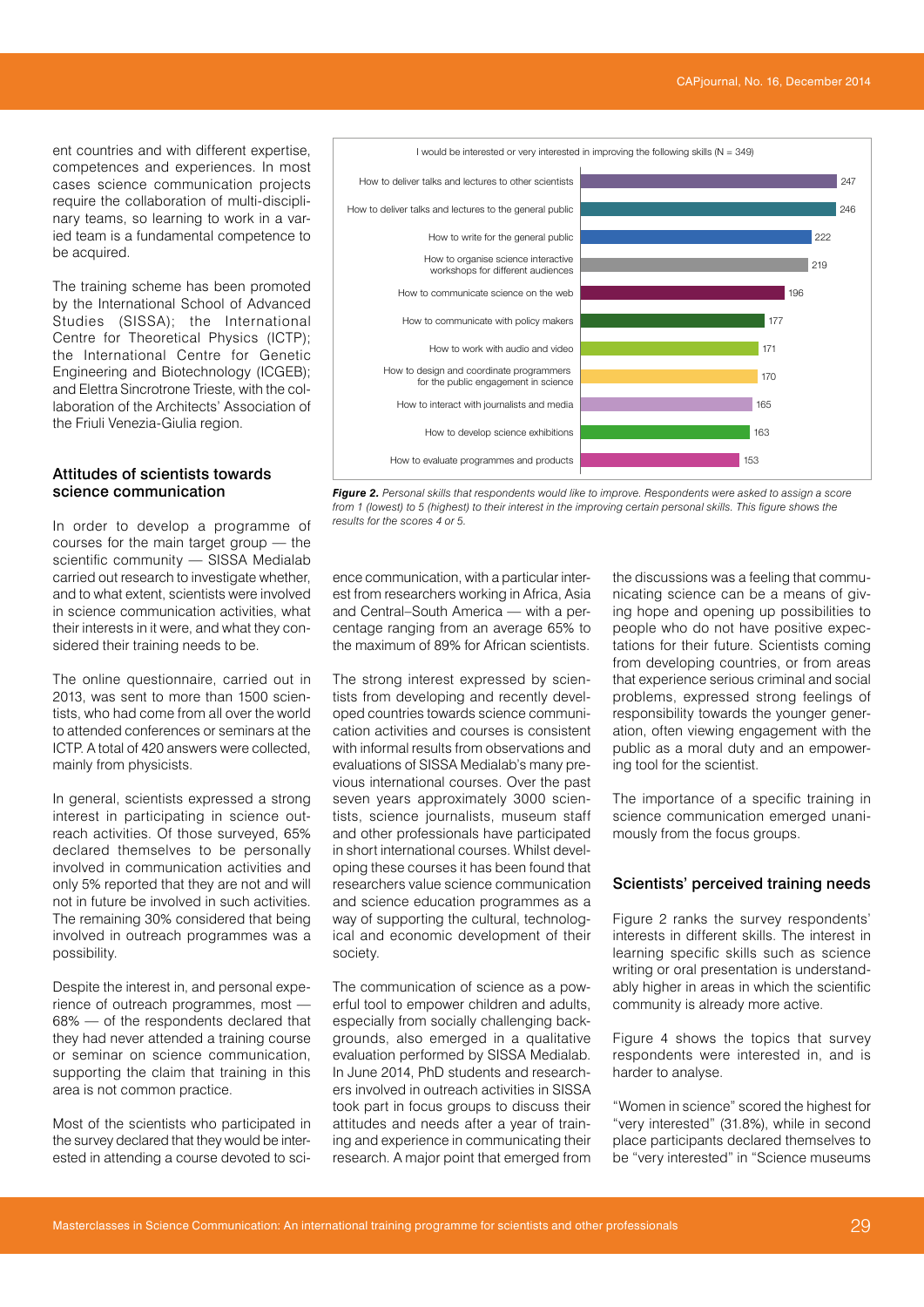ent countries and with different expertise, competences and experiences. In most cases science communication projects require the collaboration of multi-disciplinary teams, so learning to work in a varied team is a fundamental competence to be acquired.

The training scheme has been promoted by the International School of Advanced Studies (SISSA); the International Centre for Theoretical Physics (ICTP); the International Centre for Genetic Engineering and Biotechnology (ICGEB); and Elettra Sincrotrone Trieste, with the collaboration of the Architects' Association of the Friuli Venezia-Giulia region.

#### Attitudes of scientists towards science communication

In order to develop a programme of courses for the main target group — the scientific community - SISSA Medialab carried out research to investigate whether, and to what extent, scientists were involved in science communication activities, what their interests in it were, and what they considered their training needs to be.

The online questionnaire, carried out in 2013, was sent to more than 1500 scientists, who had come from all over the world to attended conferences or seminars at the ICTP. A total of 420 answers were collected, mainly from physicists.

In general, scientists expressed a strong interest in participating in science outreach activities. Of those surveyed, 65% declared themselves to be personally involved in communication activities and only 5% reported that they are not and will not in future be involved in such activities. The remaining 30% considered that being involved in outreach programmes was a possibility.

Despite the interest in, and personal experience of outreach programmes, most — 68% — of the respondents declared that they had never attended a training course or seminar on science communication, supporting the claim that training in this area is not common practice.

Most of the scientists who participated in the survey declared that they would be interested in attending a course devoted to sci-



*Figure 2. Personal skills that respondents would like to improve. Respondents were asked to assign a score from 1 (lowest) to 5 (highest) to their interest in the improving certain personal skills. This figure shows the results for the scores 4 or 5.*

ence communication, with a particular interest from researchers working in Africa, Asia and Central–South America — with a percentage ranging from an average 65% to the maximum of 89% for African scientists.

The strong interest expressed by scientists from developing and recently developed countries towards science communication activities and courses is consistent with informal results from observations and evaluations of SISSA Medialab's many previous international courses. Over the past seven years approximately 3000 scientists, science journalists, museum staff and other professionals have participated in short international courses. Whilst developing these courses it has been found that researchers value science communication and science education programmes as a way of supporting the cultural, technological and economic development of their society.

The communication of science as a powerful tool to empower children and adults, especially from socially challenging backgrounds, also emerged in a qualitative evaluation performed by SISSA Medialab. In June 2014, PhD students and researchers involved in outreach activities in SISSA took part in focus groups to discuss their attitudes and needs after a year of training and experience in communicating their research. A major point that emerged from the discussions was a feeling that communicating science can be a means of giving hope and opening up possibilities to people who do not have positive expectations for their future. Scientists coming from developing countries, or from areas that experience serious criminal and social problems, expressed strong feelings of responsibility towards the younger generation, often viewing engagement with the public as a moral duty and an empowering tool for the scientist.

The importance of a specific training in science communication emerged unanimously from the focus groups.

#### Scientists' perceived training needs

Figure 2 ranks the survey respondents' interests in different skills. The interest in learning specific skills such as science writing or oral presentation is understandably higher in areas in which the scientific community is already more active.

Figure 4 shows the topics that survey respondents were interested in, and is harder to analyse.

"Women in science" scored the highest for "very interested" (31.8%), while in second place participants declared themselves to be "very interested" in "Science museums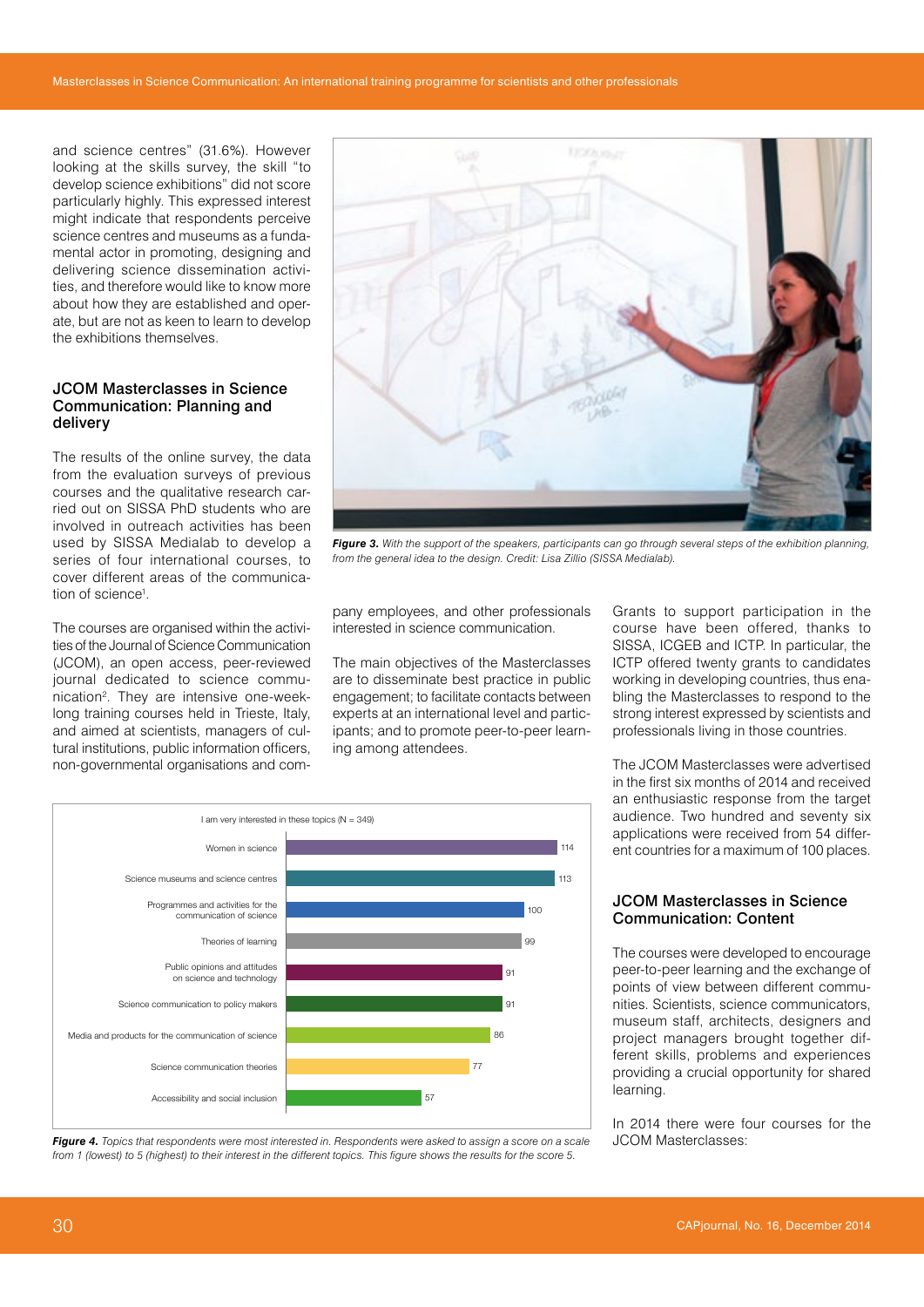and science centres" (31.6%). However looking at the skills survey, the skill "to develop science exhibitions" did not score particularly highly. This expressed interest might indicate that respondents perceive science centres and museums as a fundamental actor in promoting, designing and delivering science dissemination activities, and therefore would like to know more about how they are established and operate, but are not as keen to learn to develop the exhibitions themselves.

#### JCOM Masterclasses in Science Communication: Planning and delivery

The results of the online survey, the data from the evaluation surveys of previous courses and the qualitative research carried out on SISSA PhD students who are involved in outreach activities has been used by SISSA Medialab to develop a series of four international courses, to cover different areas of the communication of science<sup>1</sup>.

The courses are organised within the activities of the Journal of Science Communication (JCOM), an open access, peer-reviewed journal dedicated to science communication2 . They are intensive one-weeklong training courses held in Trieste, Italy, and aimed at scientists, managers of cultural institutions, public information officers, non-governmental organisations and com-



*Figure 3. With the support of the speakers, participants can go through several steps of the exhibition planning, from the general idea to the design. Credit: Lisa Zillio (SISSA Medialab).*

pany employees, and other professionals interested in science communication.

The main objectives of the Masterclasses are to disseminate best practice in public engagement; to facilitate contacts between experts at an international level and participants; and to promote peer-to-peer learning among attendees.



*Figure 4. Topics that respondents were most interested in. Respondents were asked to assign a score on a scale from 1 (lowest) to 5 (highest) to their interest in the different topics. This figure shows the results for the score 5.*

Grants to support participation in the course have been offered, thanks to SISSA, ICGEB and ICTP. In particular, the ICTP offered twenty grants to candidates working in developing countries, thus enabling the Masterclasses to respond to the strong interest expressed by scientists and professionals living in those countries.

The JCOM Masterclasses were advertised in the first six months of 2014 and received an enthusiastic response from the target audience. Two hundred and seventy six applications were received from 54 different countries for a maximum of 100 places.

#### JCOM Masterclasses in Science Communication: Content

The courses were developed to encourage peer-to-peer learning and the exchange of points of view between different communities. Scientists, science communicators, museum staff, architects, designers and project managers brought together different skills, problems and experiences providing a crucial opportunity for shared learning.

In 2014 there were four courses for the JCOM Masterclasses: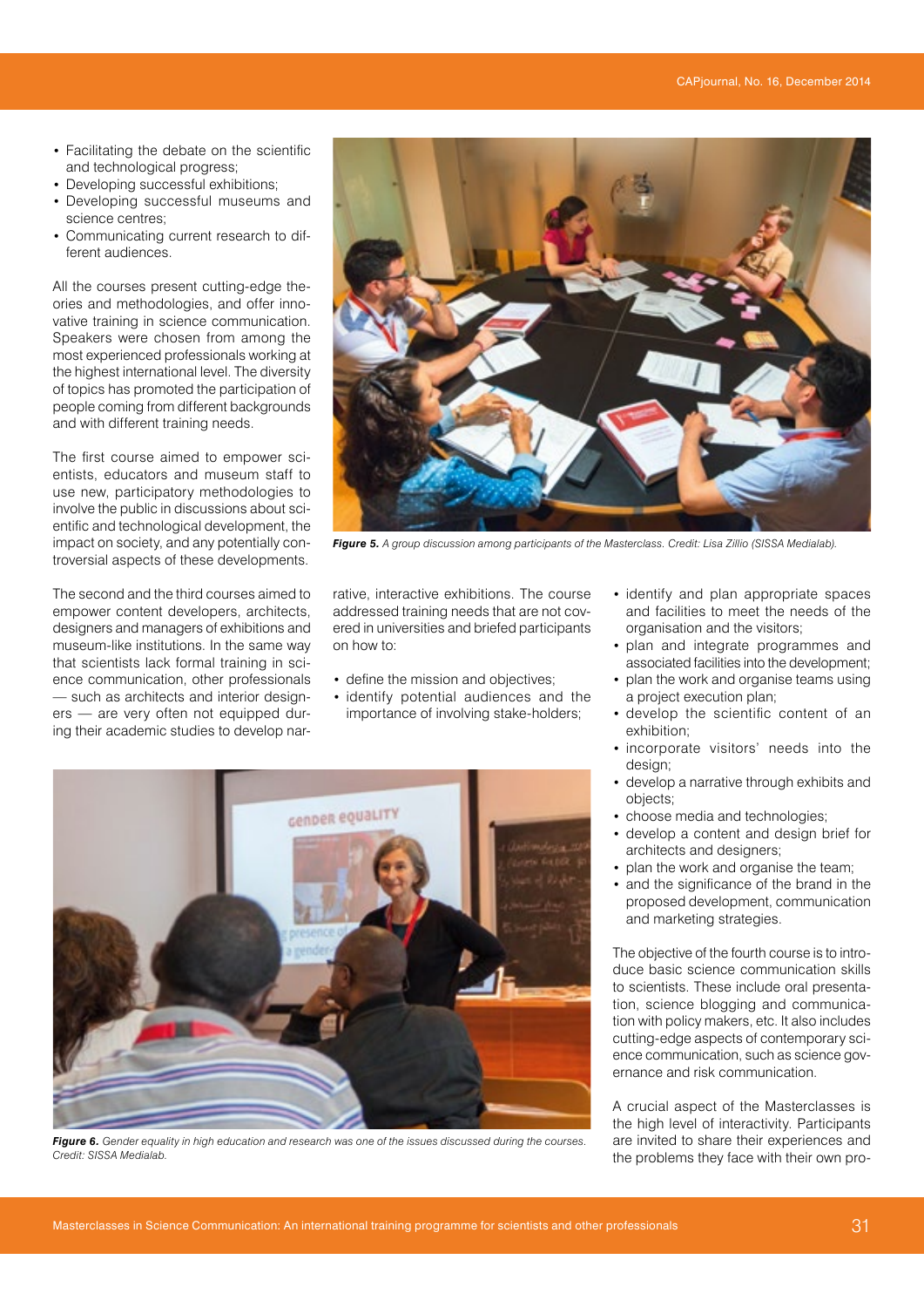- Facilitating the debate on the scientific and technological progress;
- Developing successful exhibitions;
- Developing successful museums and science centres;
- Communicating current research to different audiences.

All the courses present cutting-edge theories and methodologies, and offer innovative training in science communication. Speakers were chosen from among the most experienced professionals working at the highest international level. The diversity of topics has promoted the participation of people coming from different backgrounds and with different training needs.

The first course aimed to empower scientists, educators and museum staff to use new, participatory methodologies to involve the public in discussions about scientific and technological development, the impact on society, and any potentially controversial aspects of these developments.

The second and the third courses aimed to empower content developers, architects, designers and managers of exhibitions and museum-like institutions. In the same way that scientists lack formal training in science communication, other professionals — such as architects and interior designers — are very often not equipped during their academic studies to develop nar-



*Figure 5. A group discussion among participants of the Masterclass. Credit: Lisa Zillio (SISSA Medialab).*

rative, interactive exhibitions. The course addressed training needs that are not covered in universities and briefed participants on how to:

- define the mission and objectives;
- identify potential audiences and the importance of involving stake-holders;



*Figure 6. Gender equality in high education and research was one of the issues discussed during the courses. Credit: SISSA Medialab.*

- identify and plan appropriate spaces and facilities to meet the needs of the organisation and the visitors;
- plan and integrate programmes and associated facilities into the development;
- plan the work and organise teams using a project execution plan;
- develop the scientific content of an exhibition;
- incorporate visitors' needs into the design;
- develop a narrative through exhibits and objects;
- choose media and technologies;
- develop a content and design brief for architects and designers;
- plan the work and organise the team;
- and the significance of the brand in the proposed development, communication and marketing strategies.

The objective of the fourth course is to introduce basic science communication skills to scientists. These include oral presentation, science blogging and communication with policy makers, etc. It also includes cutting-edge aspects of contemporary science communication, such as science governance and risk communication.

A crucial aspect of the Masterclasses is the high level of interactivity. Participants are invited to share their experiences and the problems they face with their own pro-